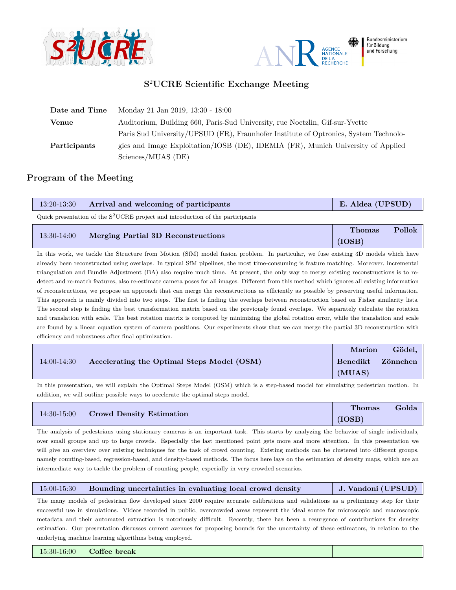



## **S** <sup>2</sup>**UCRE Scientific Exchange Meeting**

| Date and Time | Monday 21 Jan 2019, 13:30 - 18:00                                                    |
|---------------|--------------------------------------------------------------------------------------|
| <b>Venue</b>  | Auditorium, Building 660, Paris-Sud University, rue Noetzlin, Gif-sur-Yvette         |
|               | Paris Sud University/UPSUD (FR), Fraunhofer Institute of Optronics, System Technolo- |
| Participants  | gies and Image Exploitation/IOSB (DE), IDEMIA (FR), Munich University of Applied     |
|               | Sciences/MUAS (DE)                                                                   |

## **Program of the Meeting**

| 13:20-13:30   Arrival and welcoming of participants | E. Aldea (UPSUD) |
|-----------------------------------------------------|------------------|
|                                                     |                  |

Quick presentation of the  $S^2$ UCRE project and introduction of the participants

|               |                                    | <b>Thomas</b> | Pollok |
|---------------|------------------------------------|---------------|--------|
| $13:30-14:00$ | Merging Partial 3D Reconstructions | (IOSB)        |        |

In this work, we tackle the Structure from Motion (SfM) model fusion problem. In particular, we fuse existing 3D models which have already been reconstructed using overlaps. In typical SfM pipelines, the most time-consuming is feature matching. Moreover, incremental triangulation and Bundle Adjustment (BA) also require much time. At present, the only way to merge existing reconstructions is to redetect and re-match features, also re-estimate camera poses for all images. Different from this method which ignores all existing information of reconstructions, we propose an approach that can merge the reconstructions as efficiently as possible by preserving useful information. This approach is mainly divided into two steps. The first is finding the overlaps between reconstruction based on Fisher similarity lists. The second step is finding the best transformation matrix based on the previously found overlaps. We separately calculate the rotation and translation with scale. The best rotation matrix is computed by minimizing the global rotation error, while the translation and scale are found by a linear equation system of camera positions. Our experiments show that we can merge the partial 3D reconstruction with efficiency and robustness after final optimization.

|             |                                            | <b>Marion</b> | Gödel,   |
|-------------|--------------------------------------------|---------------|----------|
| 14:00-14:30 | Accelerating the Optimal Steps Model (OSM) | Benedikt      | Zönnchen |
|             |                                            | (MUAS)        |          |

In this presentation, we will explain the Optimal Steps Model (OSM) which is a step-based model for simulating pedestrian motion. In addition, we will outline possible ways to accelerate the optimal steps model.

|  |                                        | Thomas | Golda |
|--|----------------------------------------|--------|-------|
|  | 14:30-15:00   Crowd Density Estimation | (IOSB) |       |

The analysis of pedestrians using stationary cameras is an important task. This starts by analyzing the behavior of single individuals, over small groups and up to large crowds. Especially the last mentioned point gets more and more attention. In this presentation we will give an overview over existing techniques for the task of crowd counting. Existing methods can be clustered into different groups, namely counting-based, regression-based, and density-based methods. The focus here lays on the estimation of density maps, which are an intermediate way to tackle the problem of counting people, especially in very crowded scenarios.

|  | 15:00-15:30 Bounding uncertainties in evaluating local crowd density | J. Vandoni (UPSUD) |
|--|----------------------------------------------------------------------|--------------------|
|--|----------------------------------------------------------------------|--------------------|

The many models of pedestrian flow developed since 2000 require accurate calibrations and validations as a preliminary step for their successful use in simulations. Videos recorded in public, overcrowded areas represent the ideal source for microscopic and macroscopic metadata and their automated extraction is notoriously difficult. Recently, there has been a resurgence of contributions for density estimation. Our presentation discusses current avenues for proposing bounds for the uncertainty of these estimators, in relation to the underlying machine learning algorithms being employed.

15:30-16:00 **Coffee break**